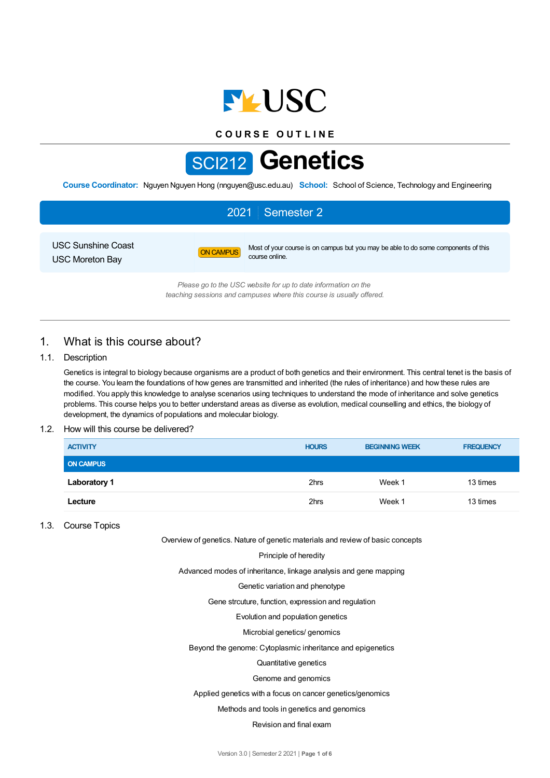

**C O U R S E O U T L I N E**



**Course Coordinator:** Nguyen Nguyen Hong (nnguyen@usc.edu.au) **School:** School of Science, Technology and Engineering

# 2021 Semester 2

USC Sunshine Coast USC Moreton Bay

ON CAMPUS Most of your course is on campus but you may be able to do some components of this course online.

*Please go to the USC website for up to date information on the teaching sessions and campuses where this course is usually offered.*

# 1. What is this course about?

## 1.1. Description

Genetics is integral to biology because organisms are a product of both genetics and their environment. This central tenet is the basis of the course. You learn the foundations of how genes are transmitted and inherited (the rules of inheritance) and how these rules are modified. You apply this knowledge to analyse scenarios using techniques to understand the mode of inheritance and solve genetics problems. This course helps you to better understand areas as diverse as evolution, medical counselling and ethics, the biology of development, the dynamics of populations and molecular biology.

## 1.2. How will this course be delivered?

| <b>ACTIVITY</b>     | <b>HOURS</b> | <b>BEGINNING WEEK</b> | <b>FREQUENCY</b> |
|---------------------|--------------|-----------------------|------------------|
| <b>ON CAMPUS</b>    |              |                       |                  |
| <b>Laboratory 1</b> | 2hrs         | Week 1                | 13 times         |
| Lecture             | 2hrs         | Week 1                | 13 times         |

## 1.3. Course Topics

Overview of genetics. Nature of genetic materials and review of basic concepts

Principle of heredity

Advanced modes of inheritance, linkage analysis and gene mapping

Genetic variation and phenotype

Gene strcuture, function, expression and regulation

Evolution and population genetics

Microbial genetics/ genomics

Beyond the genome: Cytoplasmic inheritance and epigenetics

#### Quantitative genetics

#### Genome and genomics

Applied genetics with a focus on cancer genetics/genomics

#### Methods and tools in genetics and genomics

## Revision and final exam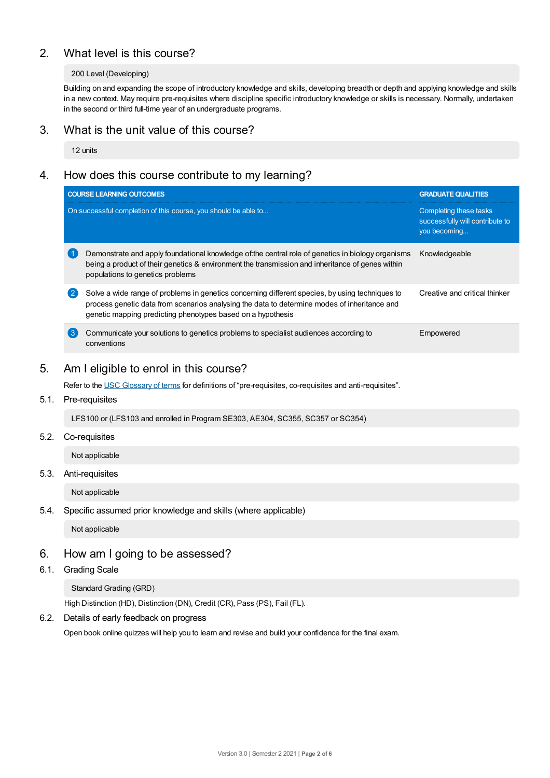# 2. What level is this course?

## 200 Level (Developing)

Building on and expanding the scope of introductory knowledge and skills, developing breadth or depth and applying knowledge and skills in a new context. May require pre-requisites where discipline specific introductory knowledge or skills is necessary. Normally, undertaken in the second or third full-time year of an undergraduate programs.

## 3. What is the unit value of this course?

12 units

# 4. How does this course contribute to my learning?

|              | <b>COURSE LEARNING OUTCOMES</b>                                                                                                                                                                                                                                | <b>GRADUATE QUALITIES</b>                                                 |
|--------------|----------------------------------------------------------------------------------------------------------------------------------------------------------------------------------------------------------------------------------------------------------------|---------------------------------------------------------------------------|
|              | On successful completion of this course, you should be able to                                                                                                                                                                                                 | Completing these tasks<br>successfully will contribute to<br>you becoming |
|              | Demonstrate and apply foundational knowledge of the central role of genetics in biology organisms<br>being a product of their genetics & environment the transmission and inheritance of genes within<br>populations to genetics problems                      | Knowledgeable                                                             |
| $\mathbf{2}$ | Solve a wide range of problems in genetics concerning different species, by using techniques to<br>process genetic data from scenarios analysing the data to determine modes of inheritance and<br>genetic mapping predicting phenotypes based on a hypothesis | Creative and critical thinker                                             |
| $\mathbf{3}$ | Communicate your solutions to genetics problems to specialist audiences according to<br>conventions                                                                                                                                                            | Empowered                                                                 |

# 5. Am Ieligible to enrol in this course?

Refer to the USC [Glossary](https://www.usc.edu.au/about/policies-and-procedures/glossary-of-terms-for-policy-and-procedures) of terms for definitions of "pre-requisites, co-requisites and anti-requisites".

## 5.1. Pre-requisites

LFS100 or (LFS103 and enrolled in Program SE303, AE304, SC355, SC357 or SC354)

## 5.2. Co-requisites

Not applicable

## 5.3. Anti-requisites

Not applicable

## 5.4. Specific assumed prior knowledge and skills (where applicable)

Not applicable

## 6. How am Igoing to be assessed?

## 6.1. Grading Scale

Standard Grading (GRD)

High Distinction (HD), Distinction (DN), Credit (CR), Pass (PS), Fail (FL).

## 6.2. Details of early feedback on progress

Open book online quizzes will help you to learn and revise and build your confidence for the final exam.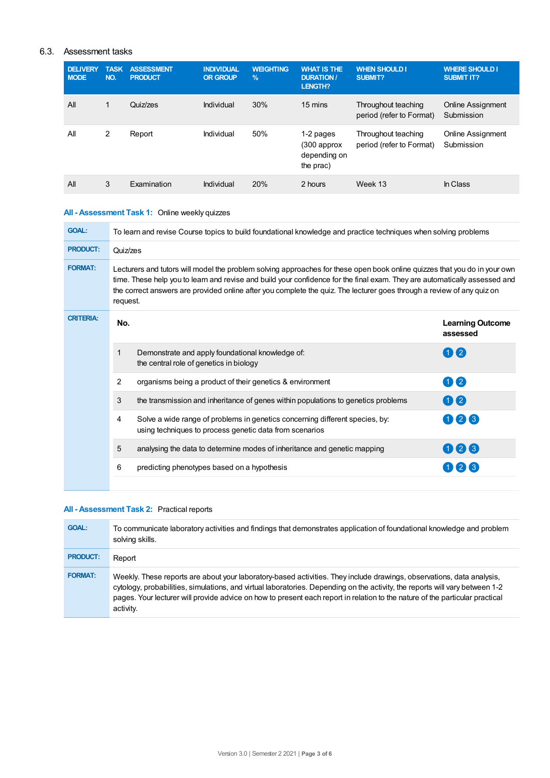## 6.3. Assessment tasks

| <b>DELIVERY</b><br><b>MODE</b> | <b>TASK</b><br>NO. | <b>ASSESSMENT</b><br><b>PRODUCT</b> | <b>INDIVIDUAL</b><br><b>OR GROUP</b> | <b>WEIGHTING</b><br>$\frac{9}{6}$ | <b>WHAT IS THE</b><br><b>DURATION /</b><br><b>LENGTH?</b> | <b>WHEN SHOULD I</b><br><b>SUBMIT?</b>          | <b>WHERE SHOULD I</b><br><b>SUBMIT IT?</b> |
|--------------------------------|--------------------|-------------------------------------|--------------------------------------|-----------------------------------|-----------------------------------------------------------|-------------------------------------------------|--------------------------------------------|
| All                            | $\mathbf{1}$       | Quiz/zes                            | Individual                           | 30%                               | 15 mins                                                   | Throughout teaching<br>period (refer to Format) | <b>Online Assignment</b><br>Submission     |
| All                            | 2                  | Report                              | Individual                           | 50%                               | 1-2 pages<br>(300 approx<br>depending on<br>the prac)     | Throughout teaching<br>period (refer to Format) | Online Assignment<br>Submission            |
| All                            | 3                  | Examination                         | Individual                           | 20%                               | 2 hours                                                   | Week 13                                         | In Class                                   |

# **All - Assessment Task 1:** Online weekly quizzes

| <b>GOAL:</b>     | To learn and revise Course topics to build foundational knowledge and practice techniques when solving problems                                                                                                                                                                                                                                                                               |                                                                                                                                         |                                     |  |  |
|------------------|-----------------------------------------------------------------------------------------------------------------------------------------------------------------------------------------------------------------------------------------------------------------------------------------------------------------------------------------------------------------------------------------------|-----------------------------------------------------------------------------------------------------------------------------------------|-------------------------------------|--|--|
| <b>PRODUCT:</b>  | Quiz/zes                                                                                                                                                                                                                                                                                                                                                                                      |                                                                                                                                         |                                     |  |  |
| <b>FORMAT:</b>   | Lecturers and tutors will model the problem solving approaches for these open book online quizzes that you do in your own<br>time. These help you to learn and revise and build your confidence for the final exam. They are automatically assessed and<br>the correct answers are provided online after you complete the quiz. The lecturer goes through a review of any quiz on<br>request. |                                                                                                                                         |                                     |  |  |
| <b>CRITERIA:</b> | No.                                                                                                                                                                                                                                                                                                                                                                                           |                                                                                                                                         | <b>Learning Outcome</b><br>assessed |  |  |
|                  | $\mathbf{1}$                                                                                                                                                                                                                                                                                                                                                                                  | Demonstrate and apply foundational knowledge of:<br>the central role of genetics in biology                                             | 112                                 |  |  |
|                  | 2                                                                                                                                                                                                                                                                                                                                                                                             | organisms being a product of their genetics & environment                                                                               | 0 2                                 |  |  |
|                  | 3                                                                                                                                                                                                                                                                                                                                                                                             | the transmission and inheritance of genes within populations to genetics problems                                                       | 00                                  |  |  |
|                  | 4                                                                                                                                                                                                                                                                                                                                                                                             | Solve a wide range of problems in genetics concerning different species, by:<br>using techniques to process genetic data from scenarios | 026                                 |  |  |
|                  | 5                                                                                                                                                                                                                                                                                                                                                                                             | analysing the data to determine modes of inheritance and genetic mapping                                                                | 0 2 3                               |  |  |
|                  | 6                                                                                                                                                                                                                                                                                                                                                                                             | predicting phenotypes based on a hypothesis                                                                                             |                                     |  |  |
|                  |                                                                                                                                                                                                                                                                                                                                                                                               |                                                                                                                                         |                                     |  |  |

## **All - Assessment Task 2:** Practical reports

| <b>GOAL:</b>    | To communicate laboratory activities and findings that demonstrates application of foundational knowledge and problem<br>solving skills.                                                                                                                                                                                                                                                           |
|-----------------|----------------------------------------------------------------------------------------------------------------------------------------------------------------------------------------------------------------------------------------------------------------------------------------------------------------------------------------------------------------------------------------------------|
| <b>PRODUCT:</b> | Report                                                                                                                                                                                                                                                                                                                                                                                             |
| <b>FORMAT:</b>  | Weekly. These reports are about your laboratory-based activities. They include drawings, observations, data analysis,<br>cytology, probabilities, simulations, and virtual laboratories. Depending on the activity, the reports will vary between 1-2<br>pages. Your lecturer will provide advice on how to present each report in relation to the nature of the particular practical<br>activity. |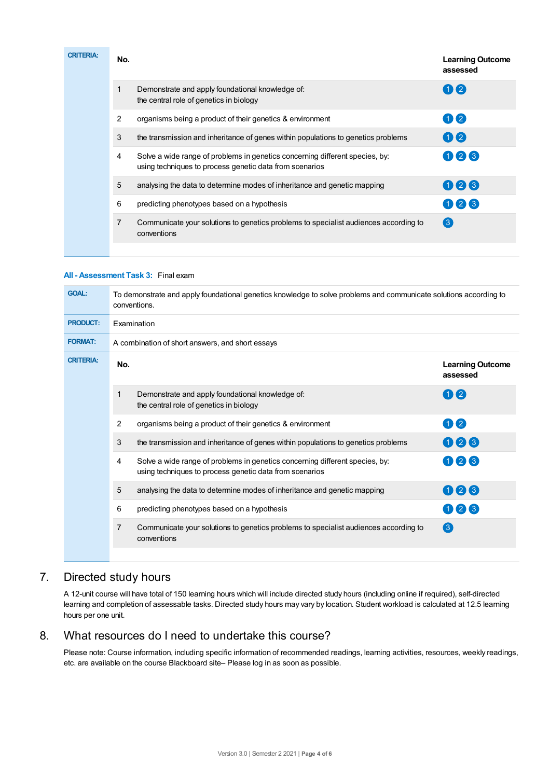| <b>CRITERIA:</b> | No.            |                                                                                                                                         | <b>Learning Outcome</b><br>assessed |
|------------------|----------------|-----------------------------------------------------------------------------------------------------------------------------------------|-------------------------------------|
|                  | 1              | Demonstrate and apply foundational knowledge of:<br>the central role of genetics in biology                                             | 112                                 |
|                  | 2              | organisms being a product of their genetics & environment                                                                               | 02                                  |
|                  | 3              | the transmission and inheritance of genes within populations to genetics problems                                                       | 02                                  |
|                  | 4              | Solve a wide range of problems in genetics concerning different species, by:<br>using techniques to process genetic data from scenarios | 026                                 |
|                  | 5              | analysing the data to determine modes of inheritance and genetic mapping                                                                | 026                                 |
|                  | 6              | predicting phenotypes based on a hypothesis                                                                                             | 023                                 |
|                  | $\overline{7}$ | Communicate your solutions to genetics problems to specialist audiences according to<br>conventions                                     | $\left(3\right)$                    |
|                  |                |                                                                                                                                         |                                     |

## **All - Assessment Task 3:** Final exam

| <b>GOAL:</b>     | To demonstrate and apply foundational genetics knowledge to solve problems and communicate solutions according to<br>conventions.            |                                     |  |  |  |  |
|------------------|----------------------------------------------------------------------------------------------------------------------------------------------|-------------------------------------|--|--|--|--|
| <b>PRODUCT:</b>  | Examination                                                                                                                                  |                                     |  |  |  |  |
| <b>FORMAT:</b>   | A combination of short answers, and short essays                                                                                             |                                     |  |  |  |  |
| <b>CRITERIA:</b> | No.                                                                                                                                          | <b>Learning Outcome</b><br>assessed |  |  |  |  |
|                  | $\mathbf{1}$<br>Demonstrate and apply foundational knowledge of:<br>the central role of genetics in biology                                  | $1)$ $(2)$                          |  |  |  |  |
|                  | $\overline{2}$<br>organisms being a product of their genetics & environment                                                                  | 0 2                                 |  |  |  |  |
|                  | 3<br>the transmission and inheritance of genes within populations to genetics problems                                                       | 006                                 |  |  |  |  |
|                  | 4<br>Solve a wide range of problems in genetics concerning different species, by:<br>using techniques to process genetic data from scenarios | 023                                 |  |  |  |  |
|                  | 5<br>analysing the data to determine modes of inheritance and genetic mapping                                                                | 026                                 |  |  |  |  |
|                  | 6<br>predicting phenotypes based on a hypothesis                                                                                             | 123                                 |  |  |  |  |
|                  | $\overline{7}$<br>Communicate your solutions to genetics problems to specialist audiences according to<br>conventions                        | $\left(3\right)$                    |  |  |  |  |
|                  |                                                                                                                                              |                                     |  |  |  |  |

# 7. Directed study hours

A 12-unit course will have total of 150 learning hours which will include directed study hours (including online if required), self-directed learning and completion of assessable tasks. Directed study hours may vary by location. Student workload is calculated at 12.5 learning hours per one unit.

## 8. What resources do I need to undertake this course?

Please note: Course information, including specific information of recommended readings, learning activities, resources, weekly readings, etc. are available on the course Blackboard site– Please log in as soon as possible.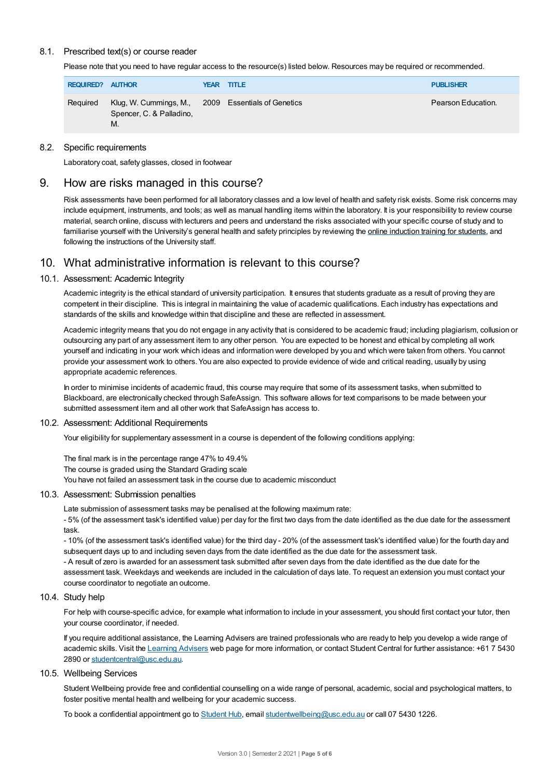## 8.1. Prescribed text(s) or course reader

Please note that you need to have regular access to the resource(s) listed below. Resources may be required or recommended.

| <b>REQUIRED?</b> | <b>AUTHOR</b>                                                                        |  | <b>YEAR TITLE</b> | <b>PUBLISHER</b>   |
|------------------|--------------------------------------------------------------------------------------|--|-------------------|--------------------|
| Required         | Klug, W. Cummings, M., 2009 Essentials of Genetics<br>Spencer, C. & Palladino,<br>М. |  |                   | Pearson Education. |

## 8.2. Specific requirements

Laboratory coat, safety glasses, closed in footwear

# 9. How are risks managed in this course?

Risk assessments have been performed for all laboratory classes and a low level of health and safety risk exists. Some risk concerns may include equipment, instruments, and tools; as well as manual handling items within the laboratory. It is your responsibility to review course material, search online, discuss with lecturers and peers and understand the risks associated with your specific course of study and to familiarise yourself with the University's general health and safety principles by reviewing the online [induction](https://online.usc.edu.au/webapps/blackboard/content/listContentEditable.jsp?content_id=_632657_1&course_id=_14432_1) training for students, and following the instructions of the University staff.

# 10. What administrative information is relevant to this course?

## 10.1. Assessment: Academic Integrity

Academic integrity is the ethical standard of university participation. It ensures that students graduate as a result of proving they are competent in their discipline. This is integral in maintaining the value of academic qualifications. Each industry has expectations and standards of the skills and knowledge within that discipline and these are reflected in assessment.

Academic integrity means that you do not engage in any activity that is considered to be academic fraud; including plagiarism, collusion or outsourcing any part of any assessment item to any other person. You are expected to be honest and ethical by completing all work yourself and indicating in your work which ideas and information were developed by you and which were taken from others. You cannot provide your assessment work to others. You are also expected to provide evidence of wide and critical reading, usually by using appropriate academic references.

In order to minimise incidents of academic fraud, this course may require that some of its assessment tasks, when submitted to Blackboard, are electronically checked through SafeAssign. This software allows for text comparisons to be made between your submitted assessment item and all other work that SafeAssign has access to.

## 10.2. Assessment: Additional Requirements

Your eligibility for supplementary assessment in a course is dependent of the following conditions applying:

The final mark is in the percentage range 47% to 49.4% The course is graded using the Standard Grading scale You have not failed an assessment task in the course due to academic misconduct

## 10.3. Assessment: Submission penalties

Late submission of assessment tasks may be penalised at the following maximum rate: - 5% (of the assessment task's identified value) per day for the first two days from the date identified as the due date for the assessment task.

- 10% (of the assessment task's identified value) for the third day - 20% (of the assessment task's identified value) for the fourth day and subsequent days up to and including seven days from the date identified as the due date for the assessment task.

- A result of zero is awarded for an assessment task submitted after seven days from the date identified as the due date for the assessment task. Weekdays and weekends are included in the calculation of days late. To request an extension you must contact your course coordinator to negotiate an outcome.

## 10.4. Study help

For help with course-specific advice, for example what information to include in your assessment, you should first contact your tutor, then your course coordinator, if needed.

If you require additional assistance, the Learning Advisers are trained professionals who are ready to help you develop a wide range of academic skills. Visit the Learning [Advisers](https://www.usc.edu.au/current-students/student-support/academic-and-study-support/learning-advisers) web page for more information, or contact Student Central for further assistance: +61 7 5430 2890 or [studentcentral@usc.edu.au](mailto:studentcentral@usc.edu.au).

## 10.5. Wellbeing Services

Student Wellbeing provide free and confidential counselling on a wide range of personal, academic, social and psychological matters, to foster positive mental health and wellbeing for your academic success.

To book a confidential appointment go to [Student](https://studenthub.usc.edu.au/) Hub, email [studentwellbeing@usc.edu.au](mailto:studentwellbeing@usc.edu.au) or call 07 5430 1226.